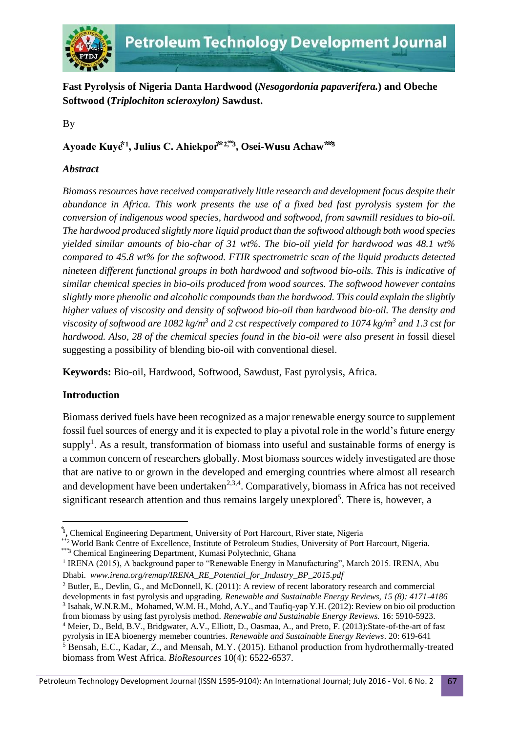

**Fast Pyrolysis of Nigeria Danta Hardwood (***Nesogordonia papaverifera.***) and Obeche Softwood (***Triplochiton scleroxylon)* **Sawdust.**

By

# $\bf{A}$ yoade  $\bf{K}$ uyė̃ $^1$ , Julius C. Ahiekpor $\bf{\hat{r}}^{\text{2},\text{3}},\bf{O}$ sei-Wusu Achaw $\bf{\hat{r}}$

### *Abstract*

*Biomass resources have received comparatively little research and development focus despite their abundance in Africa. This work presents the use of a fixed bed fast pyrolysis system for the conversion of indigenous wood species, hardwood and softwood, from sawmill residues to bio-oil. The hardwood produced slightly more liquid product than the softwood although both wood species yielded similar amounts of bio-char of 31 wt%. The bio-oil yield for hardwood was 48.1 wt% compared to 45.8 wt% for the softwood. FTIR spectrometric scan of the liquid products detected nineteen different functional groups in both hardwood and softwood bio-oils. This is indicative of similar chemical species in bio-oils produced from wood sources. The softwood however contains slightly more phenolic and alcoholic compounds than the hardwood. This could explain the slightly higher values of viscosity and density of softwood bio-oil than hardwood bio-oil. The density and viscosity of softwood are 1082 kg/m<sup>3</sup> and 2 cst respectively compared to 1074 kg/m<sup>3</sup> and 1.3 cst for hardwood. Also, 28 of the chemical species found in the bio-oil were also present in* fossil diesel suggesting a possibility of blending bio-oil with conventional diesel.

**Keywords:** Bio-oil, Hardwood, Softwood, Sawdust, Fast pyrolysis, Africa.

## **Introduction**

 $\overline{a}$ 

Biomass derived fuels have been recognized as a major renewable energy source to supplement fossil fuel sources of energy and it is expected to play a pivotal role in the world's future energy supply<sup>1</sup>. As a result, transformation of biomass into useful and sustainable forms of energy is a common concern of researchers globally. Most biomass sources widely investigated are those that are native to or grown in the developed and emerging countries where almost all research and development have been undertaken<sup>2,3,4</sup>. Comparatively, biomass in Africa has not received significant research attention and thus remains largely unexplored<sup>5</sup>. There is, however, a

<sup>&</sup>lt;sup>1</sup>, Chemical Engineering Department, University of Port Harcourt, River state, Nigeria

<sup>\*\*2</sup> World Bank Centre of Excellence, Institute of Petroleum Studies, University of Port Harcourt, Nigeria. \*\*\*3 Chemical Engineering Department, Kumasi Polytechnic, Ghana

<sup>&</sup>lt;sup>1</sup> IRENA (2015), A background paper to "Renewable Energy in Manufacturing", March 2015. IRENA, Abu Dhabi. *www.irena.org/remap/IRENA\_RE\_Potential\_for\_Industry\_BP\_2015.pdf* 

<sup>&</sup>lt;sup>2</sup> Butler, E., Devlin, G., and McDonnell, K. (2011): A review of recent laboratory research and commercial developments in fast pyrolysis and upgrading. *Renewable and Sustainable Energy Reviews, 15 (8): 4171-4186* 3 Isahak, W.N.R.M., Mohamed, W.M. H., Mohd, A.Y., and Taufiq-yap Y.H. (2012): Review on bio oil production from biomass by using fast pyrolysis method. *Renewable and Sustainable Energy Reviews.* 16: 5910-5923. <sup>4</sup> Meier, D., Beld, B.V., Bridgwater, A.V., Elliott, D., Oasmaa, A., and Preto, F. (2013):State-of-the-art of fast pyrolysis in IEA bioenergy memeber countries. *Renewable and Sustainable Energy Reviews*. 20: 619-641 <sup>5</sup> Bensah, E.C., Kadar, Z., and Mensah, M.Y. (2015). Ethanol production from hydrothermally-treated biomass from West Africa. *BioResources* 10(4): 6522-6537.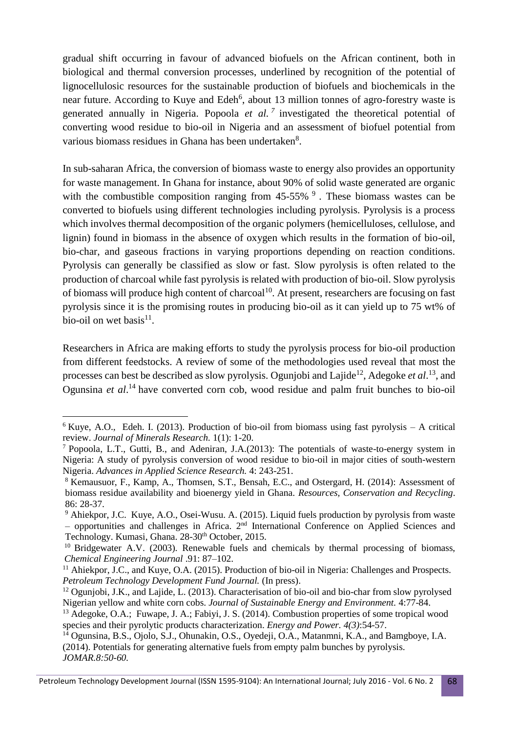gradual shift occurring in favour of advanced biofuels on the African continent, both in biological and thermal conversion processes, underlined by recognition of the potential of lignocellulosic resources for the sustainable production of biofuels and biochemicals in the near future. According to Kuye and Edeh<sup>6</sup>, about 13 million tonnes of agro-forestry waste is generated annually in Nigeria. Popoola *et al.*<sup>7</sup> investigated the theoretical potential of converting wood residue to bio-oil in Nigeria and an assessment of biofuel potential from various biomass residues in Ghana has been undertaken<sup>8</sup>.

In sub-saharan Africa, the conversion of biomass waste to energy also provides an opportunity for waste management. In Ghana for instance, about 90% of solid waste generated are organic with the combustible composition ranging from  $45-55\%$   $9$ . These biomass wastes can be converted to biofuels using different technologies including pyrolysis. Pyrolysis is a process which involves thermal decomposition of the organic polymers (hemicelluloses, cellulose, and lignin) found in biomass in the absence of oxygen which results in the formation of bio-oil, bio-char, and gaseous fractions in varying proportions depending on reaction conditions. Pyrolysis can generally be classified as slow or fast. Slow pyrolysis is often related to the production of charcoal while fast pyrolysis is related with production of bio-oil. Slow pyrolysis of biomass will produce high content of charcoal<sup>10</sup>. At present, researchers are focusing on fast pyrolysis since it is the promising routes in producing bio-oil as it can yield up to 75 wt% of bio-oil on wet basis $11$ .

Researchers in Africa are making efforts to study the pyrolysis process for bio-oil production from different feedstocks. A review of some of the methodologies used reveal that most the processes can best be described as slow pyrolysis. Ogunjobi and Lajide<sup>12</sup>, Adegoke *et al.*<sup>13</sup>, and Ogunsina *et al*. <sup>14</sup> have converted corn cob, wood residue and palm fruit bunches to bio-oil

1

 $6$  Kuye, A.O., Edeh. I. (2013). Production of bio-oil from biomass using fast pyrolysis – A critical review. *Journal of Minerals Research.* 1(1): 1-20.

<sup>7</sup> Popoola, L.T., Gutti, B., and Adeniran, J.A.(2013): The potentials of waste-to-energy system in Nigeria: A study of pyrolysis conversion of wood residue to bio-oil in major cities of south-western Nigeria. *Advances in Applied Science Research.* 4: 243-251.

<sup>8</sup> Kemausuor, F., Kamp, A., Thomsen, S.T., Bensah, E.C., and Ostergard, H. (2014): Assessment of biomass residue availability and bioenergy yield in Ghana. *Resources, Conservation and Recycling*. 86: 28-37.

<sup>&</sup>lt;sup>9</sup> Ahiekpor, J.C. Kuye, A.O., Osei-Wusu. A. (2015). Liquid fuels production by pyrolysis from waste – opportunities and challenges in Africa. 2nd International Conference on Applied Sciences and Technology. Kumasi, Ghana. 28-30<sup>th</sup> October, 2015.

<sup>&</sup>lt;sup>10</sup> Bridgewater A.V. (2003). Renewable fuels and chemicals by thermal processing of biomass, *Chemical Engineering Journal* .91: 87–102.

<sup>11</sup> Ahiekpor, J.C., and Kuye, O.A. (2015). Production of bio-oil in Nigeria: Challenges and Prospects*. Petroleum Technology Development Fund Journal.* (In press).

<sup>&</sup>lt;sup>12</sup> Ogunjobi, J.K., and Lajide, L. (2013). Characterisation of bio-oil and bio-char from slow pyrolysed Nigerian yellow and white corn cobs. *Journal of Sustainable Energy and Environment.* 4:77-84.

<sup>&</sup>lt;sup>13</sup> Adegoke, O.A.; Fuwape, J. A.; Fabiyi, J. S. (2014). Combustion properties of some tropical wood species and their pyrolytic products characterization. *Energy and Power. 4(3)*:54-57.

<sup>14</sup> Ogunsina, B.S., Ojolo, S.J., Ohunakin, O.S., Oyedeji, O.A., Matanmni, K.A., and Bamgboye, I.A. (2014). Potentials for generating alternative fuels from empty palm bunches by pyrolysis. *JOMAR.8:50-60.*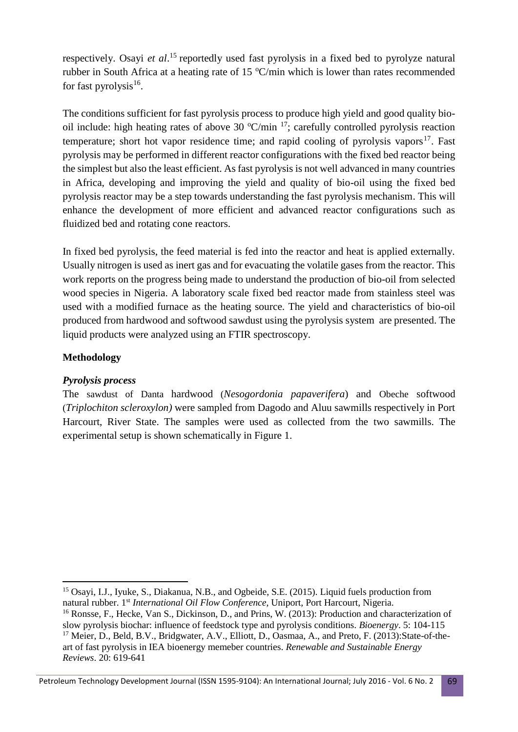respectively. Osayi *et al*. <sup>15</sup> reportedly used fast pyrolysis in a fixed bed to pyrolyze natural rubber in South Africa at a heating rate of 15  $\degree$ C/min which is lower than rates recommended for fast pyrolysis<sup>16</sup>.

The conditions sufficient for fast pyrolysis process to produce high yield and good quality biooil include: high heating rates of above 30  $\textdegree$ C/min <sup>17</sup>; carefully controlled pyrolysis reaction temperature; short hot vapor residence time; and rapid cooling of pyrolysis vapors $17$ . Fast pyrolysis may be performed in different reactor configurations with the fixed bed reactor being the simplest but also the least efficient. As fast pyrolysis is not well advanced in many countries in Africa, developing and improving the yield and quality of bio-oil using the fixed bed pyrolysis reactor may be a step towards understanding the fast pyrolysis mechanism. This will enhance the development of more efficient and advanced reactor configurations such as fluidized bed and rotating cone reactors.

In fixed bed pyrolysis, the feed material is fed into the reactor and heat is applied externally. Usually nitrogen is used as inert gas and for evacuating the volatile gases from the reactor. This work reports on the progress being made to understand the production of bio-oil from selected wood species in Nigeria. A laboratory scale fixed bed reactor made from stainless steel was used with a modified furnace as the heating source. The yield and characteristics of bio-oil produced from hardwood and softwood sawdust using the pyrolysis system are presented. The liquid products were analyzed using an FTIR spectroscopy.

### **Methodology**

**.** 

#### *Pyrolysis process*

The sawdust of Danta hardwood (*Nesogordonia papaverifera*) and Obeche softwood (*Triplochiton scleroxylon)* were sampled from Dagodo and Aluu sawmills respectively in Port Harcourt, River State. The samples were used as collected from the two sawmills. The experimental setup is shown schematically in Figure 1.

<sup>&</sup>lt;sup>15</sup> Osayi, I.J., Iyuke, S., Diakanua, N.B., and Ogbeide, S.E. (2015). Liquid fuels production from natural rubber. 1st *International Oil Flow Conference,* Uniport, Port Harcourt, Nigeria.

<sup>&</sup>lt;sup>16</sup> Ronsse, F., Hecke, Van S., Dickinson, D., and Prins, W. (2013): Production and characterization of slow pyrolysis biochar: influence of feedstock type and pyrolysis conditions. *Bioenergy*. 5: 104-115 <sup>17</sup> Meier, D., Beld, B.V., Bridgwater, A.V., Elliott, D., Oasmaa, A., and Preto, F. (2013): State-of-theart of fast pyrolysis in IEA bioenergy memeber countries. *Renewable and Sustainable Energy Reviews*. 20: 619-641

Petroleum Technology Development Journal (ISSN 1595-9104): An International Journal; July 2016 - Vol. 6 No. 2 69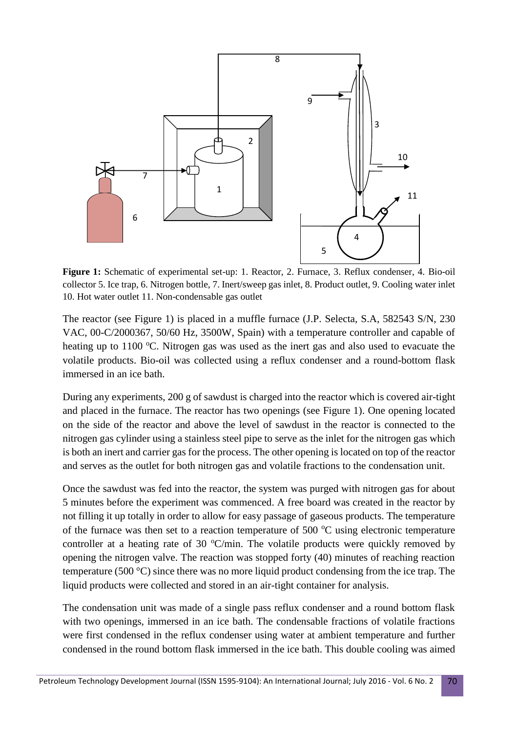

**Figure 1:** Schematic of experimental set-up: 1. Reactor, 2. Furnace, 3. Reflux condenser, 4. Bio-oil collector 5. Ice trap, 6. Nitrogen bottle, 7. Inert/sweep gas inlet, 8. Product outlet, 9. Cooling water inlet 10. Hot water outlet 11. Non-condensable gas outlet

The reactor (see Figure 1) is placed in a muffle furnace (J.P. Selecta, S.A, 582543 S/N, 230 VAC, 00-C/2000367, 50/60 Hz, 3500W, Spain) with a temperature controller and capable of heating up to  $1100 \degree C$ . Nitrogen gas was used as the inert gas and also used to evacuate the volatile products. Bio-oil was collected using a reflux condenser and a round-bottom flask immersed in an ice bath.

During any experiments, 200 g of sawdust is charged into the reactor which is covered air-tight and placed in the furnace. The reactor has two openings (see Figure 1). One opening located on the side of the reactor and above the level of sawdust in the reactor is connected to the nitrogen gas cylinder using a stainless steel pipe to serve as the inlet for the nitrogen gas which is both an inert and carrier gas for the process. The other opening is located on top of the reactor and serves as the outlet for both nitrogen gas and volatile fractions to the condensation unit.

Once the sawdust was fed into the reactor, the system was purged with nitrogen gas for about 5 minutes before the experiment was commenced. A free board was created in the reactor by not filling it up totally in order to allow for easy passage of gaseous products. The temperature of the furnace was then set to a reaction temperature of 500  $^{\circ}$ C using electronic temperature controller at a heating rate of 30  $\textdegree$ C/min. The volatile products were quickly removed by opening the nitrogen valve. The reaction was stopped forty (40) minutes of reaching reaction temperature (500 °C) since there was no more liquid product condensing from the ice trap. The liquid products were collected and stored in an air-tight container for analysis.

The condensation unit was made of a single pass reflux condenser and a round bottom flask with two openings, immersed in an ice bath. The condensable fractions of volatile fractions were first condensed in the reflux condenser using water at ambient temperature and further condensed in the round bottom flask immersed in the ice bath. This double cooling was aimed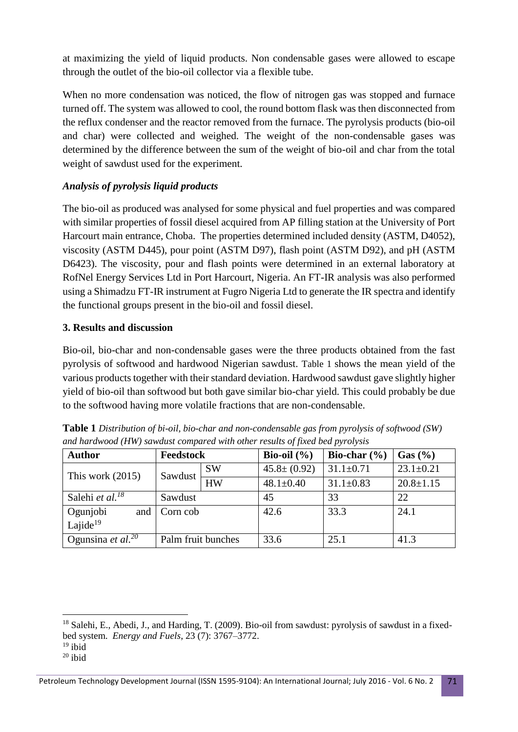at maximizing the yield of liquid products. Non condensable gases were allowed to escape through the outlet of the bio-oil collector via a flexible tube.

When no more condensation was noticed, the flow of nitrogen gas was stopped and furnace turned off. The system was allowed to cool, the round bottom flask was then disconnected from the reflux condenser and the reactor removed from the furnace. The pyrolysis products (bio-oil and char) were collected and weighed. The weight of the non-condensable gases was determined by the difference between the sum of the weight of bio-oil and char from the total weight of sawdust used for the experiment.

### *Analysis of pyrolysis liquid products*

The bio-oil as produced was analysed for some physical and fuel properties and was compared with similar properties of fossil diesel acquired from AP filling station at the University of Port Harcourt main entrance, Choba. The properties determined included density (ASTM, D4052), viscosity (ASTM D445), pour point (ASTM D97), flash point (ASTM D92), and pH (ASTM D6423). The viscosity, pour and flash points were determined in an external laboratory at RofNel Energy Services Ltd in Port Harcourt, Nigeria. An FT-IR analysis was also performed using a Shimadzu FT-IR instrument at Fugro Nigeria Ltd to generate the IR spectra and identify the functional groups present in the bio-oil and fossil diesel.

#### **3. Results and discussion**

Bio-oil, bio-char and non-condensable gases were the three products obtained from the fast pyrolysis of softwood and hardwood Nigerian sawdust. Table 1 shows the mean yield of the various products together with their standard deviation. Hardwood sawdust gave slightly higher yield of bio-oil than softwood but both gave similar bio-char yield. This could probably be due to the softwood having more volatile fractions that are non-condensable.

| <b>Author</b>               | Feedstock          |           | Bio-oil $(\% )$   | Bio-char $(\% )$ | Gas (%)         |
|-----------------------------|--------------------|-----------|-------------------|------------------|-----------------|
| This work $(2015)$          | Sawdust            | <b>SW</b> | $45.8 \pm (0.92)$ | $31.1 \pm 0.71$  | $23.1 \pm 0.21$ |
|                             |                    | <b>HW</b> | $48.1 \pm 0.40$   | $31.1 \pm 0.83$  | $20.8 \pm 1.15$ |
| Salehi et al. <sup>18</sup> | Sawdust            |           | 45                | 33               | 22              |
| Ogunjobi<br>and             | Corn cob           |           | 42.6              | 33.3             | 24.1            |
| Lajide $19$                 |                    |           |                   |                  |                 |
| Ogunsina et al. $^{20}$     | Palm fruit bunches |           | 33.6              | 25.1             | 41.3            |

**Table 1** *Distribution of bi-oil, bio-char and non-condensable gas from pyrolysis of softwood (SW) and hardwood (HW) sawdust compared with other results of fixed bed pyrolysis*

**.** 

<sup>&</sup>lt;sup>18</sup> Salehi, E., Abedi, J., and Harding, T. (2009). Bio-oil from sawdust: pyrolysis of sawdust in a fixedbed system. *Energy and Fuels*, 23 (7): 3767–3772.

 $19$  ibid

 $20$  ibid

Petroleum Technology Development Journal (ISSN 1595-9104): An International Journal; July 2016 - Vol. 6 No. 2 71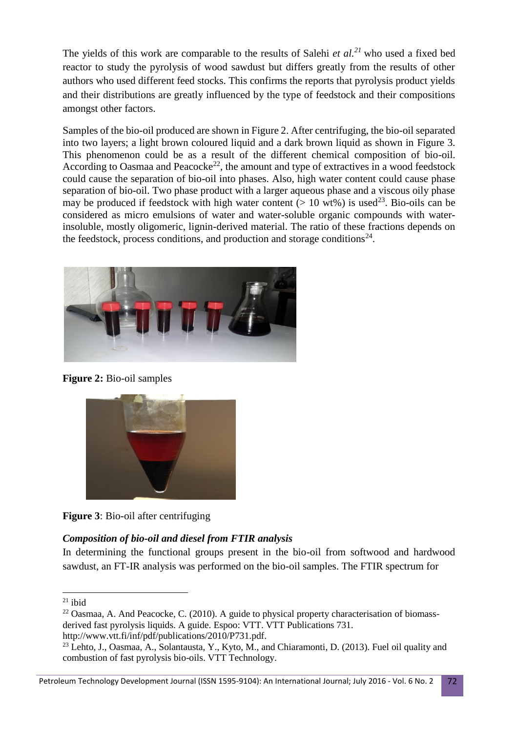The yields of this work are comparable to the results of Salehi *et al. <sup>21</sup>* who used a fixed bed reactor to study the pyrolysis of wood sawdust but differs greatly from the results of other authors who used different feed stocks. This confirms the reports that pyrolysis product yields and their distributions are greatly influenced by the type of feedstock and their compositions amongst other factors.

Samples of the bio-oil produced are shown in Figure 2. After centrifuging, the bio-oil separated into two layers; a light brown coloured liquid and a dark brown liquid as shown in Figure 3. This phenomenon could be as a result of the different chemical composition of bio-oil. According to Oasmaa and Peacocke<sup>22</sup>, the amount and type of extractives in a wood feedstock could cause the separation of bio-oil into phases. Also, high water content could cause phase separation of bio-oil. Two phase product with a larger aqueous phase and a viscous oily phase may be produced if feedstock with high water content ( $> 10$  wt%) is used<sup>23</sup>. Bio-oils can be considered as micro emulsions of water and water-soluble organic compounds with waterinsoluble, mostly oligomeric, lignin-derived material. The ratio of these fractions depends on the feedstock, process conditions, and production and storage conditions<sup>24</sup>.



**Figure 2:** Bio-oil samples



**Figure 3**: Bio-oil after centrifuging

## *Composition of bio-oil and diesel from FTIR analysis*

In determining the functional groups present in the bio-oil from softwood and hardwood sawdust, an FT-IR analysis was performed on the bio-oil samples. The FTIR spectrum for

<sup>1</sup>  $21$  ibid

<sup>&</sup>lt;sup>22</sup> Oasmaa, A. And Peacocke, C. (2010). A guide to physical property characterisation of biomassderived fast pyrolysis liquids. A guide. Espoo: VTT. VTT Publications 731. http://www.vtt.fi/inf/pdf/publications/2010/P731.pdf.

<sup>&</sup>lt;sup>23</sup> Lehto, J., Oasmaa, A., Solantausta, Y., Kyto, M., and Chiaramonti, D. (2013). Fuel oil quality and combustion of fast pyrolysis bio-oils. VTT Technology.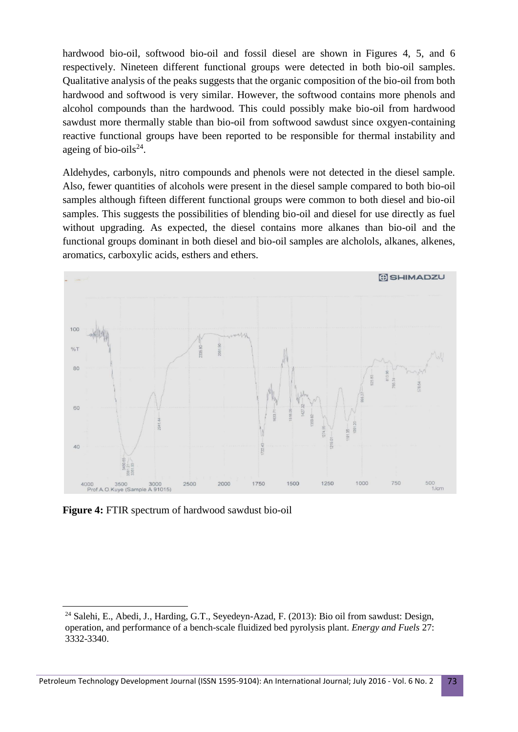hardwood bio-oil, softwood bio-oil and fossil diesel are shown in Figures 4, 5, and 6 respectively. Nineteen different functional groups were detected in both bio-oil samples. Qualitative analysis of the peaks suggests that the organic composition of the bio-oil from both hardwood and softwood is very similar. However, the softwood contains more phenols and alcohol compounds than the hardwood. This could possibly make bio-oil from hardwood sawdust more thermally stable than bio-oil from softwood sawdust since oxgyen-containing reactive functional groups have been reported to be responsible for thermal instability and ageing of bio-oils $^{24}$ .

Aldehydes, carbonyls, nitro compounds and phenols were not detected in the diesel sample. Also, fewer quantities of alcohols were present in the diesel sample compared to both bio-oil samples although fifteen different functional groups were common to both diesel and bio-oil samples. This suggests the possibilities of blending bio-oil and diesel for use directly as fuel without upgrading. As expected, the diesel contains more alkanes than bio-oil and the functional groups dominant in both diesel and bio-oil samples are alcholols, alkanes, alkenes, aromatics, carboxylic acids, esthers and ethers.



**Figure 4:** FTIR spectrum of hardwood sawdust bio-oil

 $\overline{a}$ 

<sup>24</sup> Salehi, E., Abedi, J., Harding, G.T., Seyedeyn-Azad, F. (2013): Bio oil from sawdust: Design, operation, and performance of a bench-scale fluidized bed pyrolysis plant. *Energy and Fuels* 27: 3332-3340.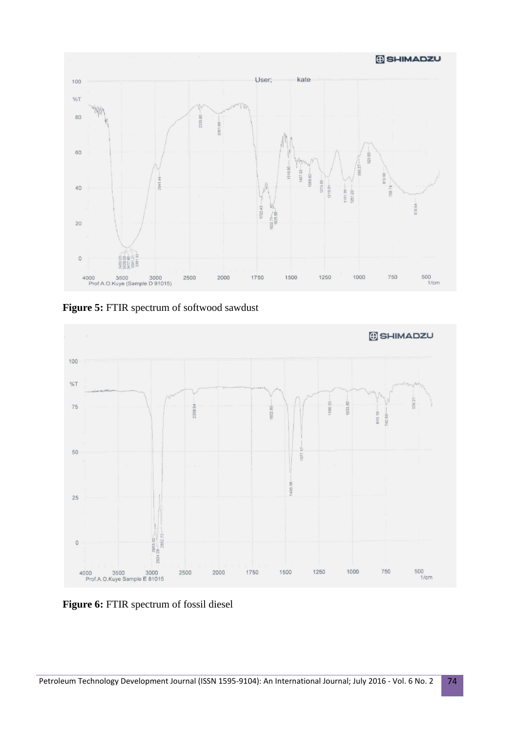

**Figure 5:** FTIR spectrum of softwood sawdust



**Figure 6:** FTIR spectrum of fossil diesel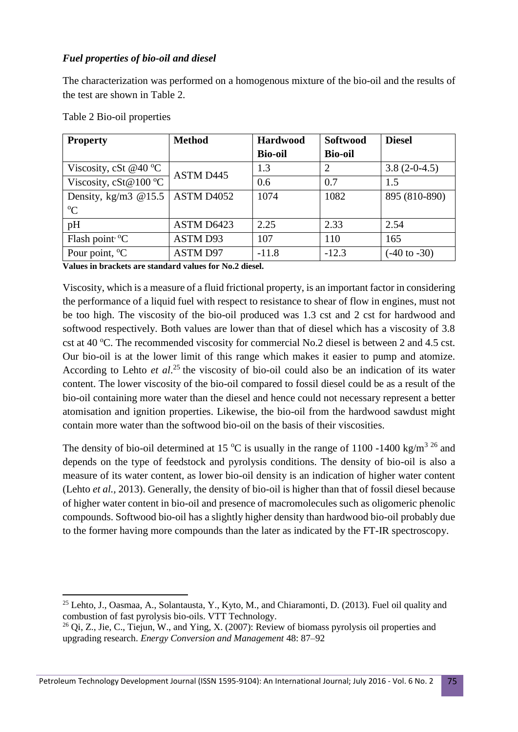## *Fuel properties of bio-oil and diesel*

The characterization was performed on a homogenous mixture of the bio-oil and the results of the test are shown in Table 2.

| <b>Property</b>                 | <b>Method</b>   | <b>Hardwood</b> | <b>Softwood</b> | <b>Diesel</b>           |
|---------------------------------|-----------------|-----------------|-----------------|-------------------------|
|                                 |                 | <b>Bio-oil</b>  | <b>Bio-oil</b>  |                         |
| Viscosity, cSt @40 $^{\circ}$ C | ASTM D445       | 1.3             | $\overline{2}$  | $3.8(2-0-4.5)$          |
| Viscosity, cSt@100 °C           |                 | 0.6             | 0.7             | 1.5                     |
| Density, kg/m3 $@15.5$          | ASTM D4052      | 1074            | 1082            | 895 (810-890)           |
| $\rm ^{o}C$                     |                 |                 |                 |                         |
| pH                              | ASTM D6423      | 2.25            | 2.33            | 2.54                    |
| Flash point ${}^{\circ}C$       | ASTM D93        | 107             | 110             | 165                     |
| Pour point, $\mathrm{C}$        | <b>ASTM D97</b> | $-11.8$         | $-12.3$         | $(-40 \text{ to } -30)$ |

Table 2 Bio-oil properties

**Values in brackets are standard values for No.2 diesel.**

Viscosity, which is a measure of a fluid frictional property, is an important factor in considering the performance of a liquid fuel with respect to resistance to shear of flow in engines, must not be too high. The viscosity of the bio-oil produced was 1.3 cst and 2 cst for hardwood and softwood respectively. Both values are lower than that of diesel which has a viscosity of 3.8 cst at 40  $^{\circ}$ C. The recommended viscosity for commercial No.2 diesel is between 2 and 4.5 cst. Our bio-oil is at the lower limit of this range which makes it easier to pump and atomize. According to Lehto *et al*. <sup>25</sup> the viscosity of bio-oil could also be an indication of its water content. The lower viscosity of the bio-oil compared to fossil diesel could be as a result of the bio-oil containing more water than the diesel and hence could not necessary represent a better atomisation and ignition properties. Likewise, the bio-oil from the hardwood sawdust might contain more water than the softwood bio-oil on the basis of their viscosities.

The density of bio-oil determined at 15 °C is usually in the range of 1100 -1400 kg/m<sup>3 26</sup> and depends on the type of feedstock and pyrolysis conditions. The density of bio-oil is also a measure of its water content, as lower bio-oil density is an indication of higher water content (Lehto *et al.,* 2013). Generally, the density of bio-oil is higher than that of fossil diesel because of higher water content in bio-oil and presence of macromolecules such as oligomeric phenolic compounds. Softwood bio-oil has a slightly higher density than hardwood bio-oil probably due to the former having more compounds than the later as indicated by the FT-IR spectroscopy.

<sup>1</sup> <sup>25</sup> Lehto, J., Oasmaa, A., Solantausta, Y., Kyto, M., and Chiaramonti, D. (2013). Fuel oil quality and combustion of fast pyrolysis bio-oils. VTT Technology.

<sup>&</sup>lt;sup>26</sup> Qi, Z., Jie, C., Tiejun, W., and Ying, X. (2007): Review of biomass pyrolysis oil properties and upgrading research. *Energy Conversion and Management* 48: 87–92